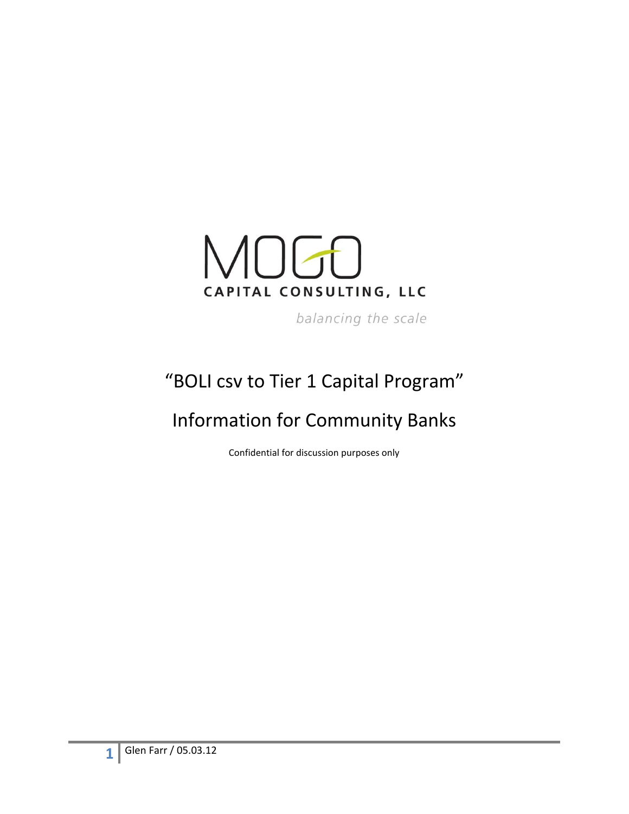

balancing the scale

# "BOLI csv to Tier 1 Capital Program"

# Information for Community Banks

Confidential for discussion purposes only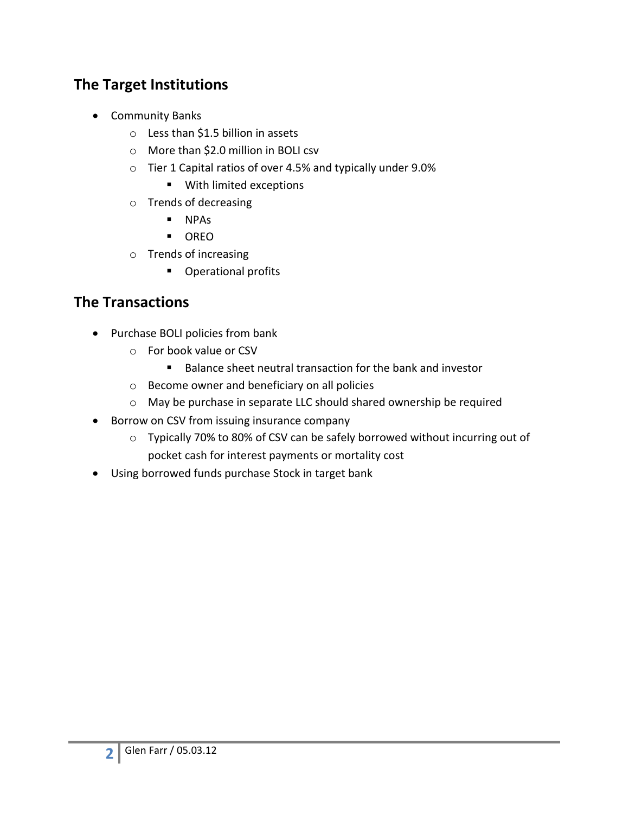### **The Target Institutions**

- **•** Community Banks
	- o Less than \$1.5 billion in assets
	- o More than \$2.0 million in BOLI csv
	- o Tier 1 Capital ratios of over 4.5% and typically under 9.0%
		- With limited exceptions
	- o Trends of decreasing
		- NPAs
		- OREO
	- o Trends of increasing
		- **•** Operational profits

#### **The Transactions**

- Purchase BOLI policies from bank
	- o For book value or CSV
		- Balance sheet neutral transaction for the bank and investor
	- o Become owner and beneficiary on all policies
	- o May be purchase in separate LLC should shared ownership be required
- Borrow on CSV from issuing insurance company
	- o Typically 70% to 80% of CSV can be safely borrowed without incurring out of pocket cash for interest payments or mortality cost
- Using borrowed funds purchase Stock in target bank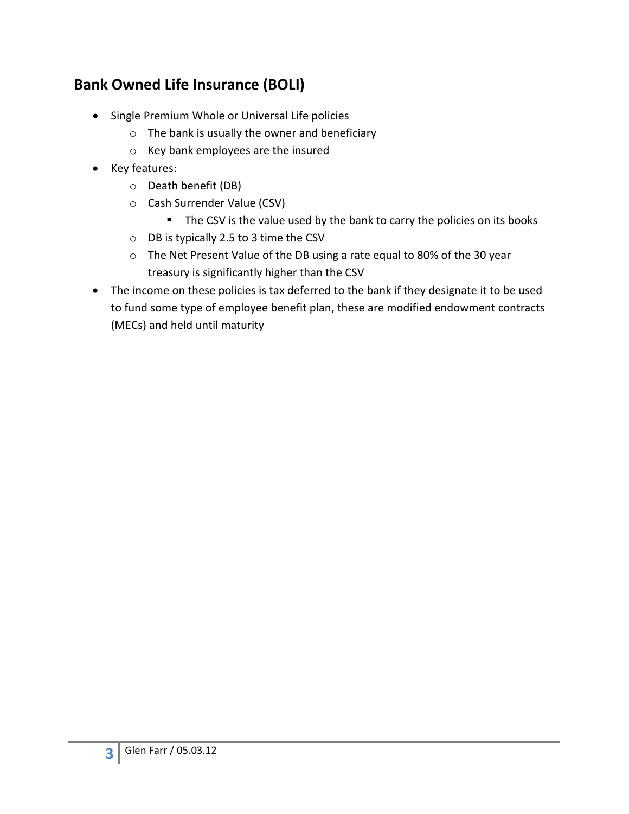# **Bank Owned Life Insurance (BOLI)**

- Single Premium Whole or Universal Life policies
	- o The bank is usually the owner and beneficiary
	- o Key bank employees are the insured
- Key features:
	- o Death benefit (DB)
	- o Cash Surrender Value (CSV)
		- The CSV is the value used by the bank to carry the policies on its books
	- o DB is typically 2.5 to 3 time the CSV
	- o The Net Present Value of the DB using a rate equal to 80% of the 30 year treasury is significantly higher than the CSV
- The income on these policies is tax deferred to the bank if they designate it to be used to fund some type of employee benefit plan, these are modified endowment contracts (MECs) and held until maturity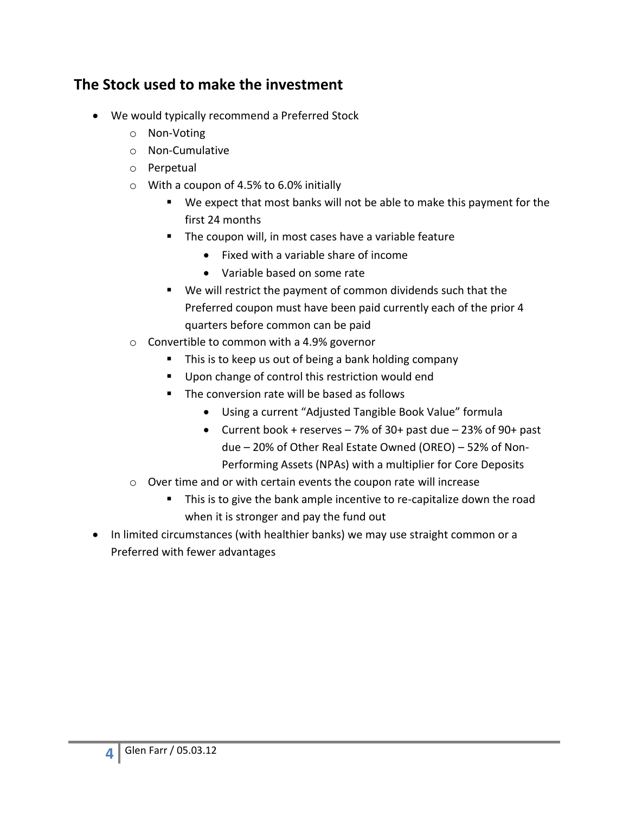#### **The Stock used to make the investment**

- We would typically recommend a Preferred Stock
	- o Non-Voting
	- o Non-Cumulative
	- o Perpetual
	- o With a coupon of 4.5% to 6.0% initially
		- We expect that most banks will not be able to make this payment for the first 24 months
		- **The coupon will, in most cases have a variable feature** 
			- Fixed with a variable share of income
			- Variable based on some rate
		- We will restrict the payment of common dividends such that the Preferred coupon must have been paid currently each of the prior 4 quarters before common can be paid
	- o Convertible to common with a 4.9% governor
		- This is to keep us out of being a bank holding company
		- Upon change of control this restriction would end
		- The conversion rate will be based as follows
			- Using a current "Adjusted Tangible Book Value" formula
			- Current book + reserves  $-7\%$  of 30+ past due  $-23\%$  of 90+ past due – 20% of Other Real Estate Owned (OREO) – 52% of Non-Performing Assets (NPAs) with a multiplier for Core Deposits
	- o Over time and or with certain events the coupon rate will increase
		- This is to give the bank ample incentive to re-capitalize down the road when it is stronger and pay the fund out
- In limited circumstances (with healthier banks) we may use straight common or a Preferred with fewer advantages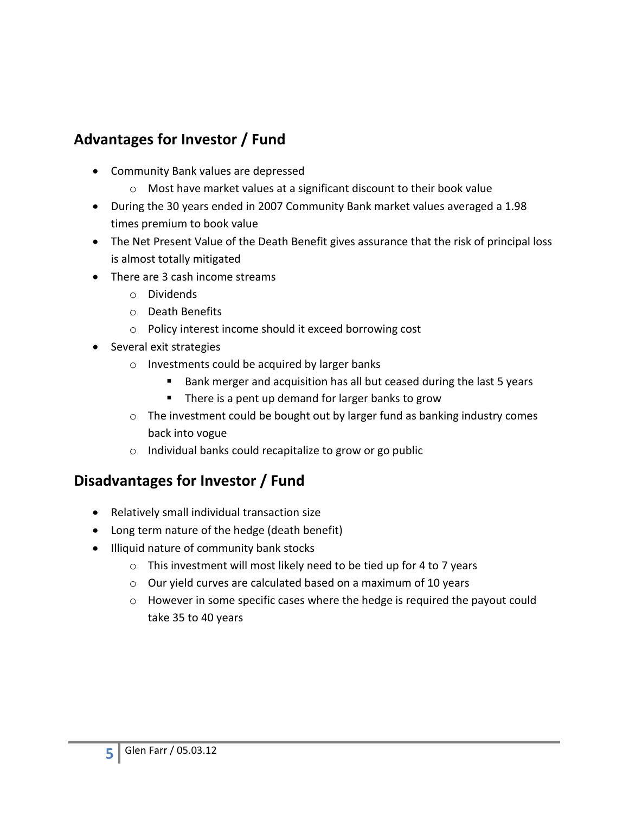# **Advantages for Investor / Fund**

- Community Bank values are depressed
	- o Most have market values at a significant discount to their book value
- During the 30 years ended in 2007 Community Bank market values averaged a 1.98 times premium to book value
- The Net Present Value of the Death Benefit gives assurance that the risk of principal loss is almost totally mitigated
- There are 3 cash income streams
	- o Dividends
	- o Death Benefits
	- o Policy interest income should it exceed borrowing cost
- Several exit strategies
	- o Investments could be acquired by larger banks
		- Bank merger and acquisition has all but ceased during the last 5 years
		- **There is a pent up demand for larger banks to grow**
	- o The investment could be bought out by larger fund as banking industry comes back into vogue
	- o Individual banks could recapitalize to grow or go public

### **Disadvantages for Investor / Fund**

- Relatively small individual transaction size
- Long term nature of the hedge (death benefit)
- Illiquid nature of community bank stocks
	- o This investment will most likely need to be tied up for 4 to 7 years
	- o Our yield curves are calculated based on a maximum of 10 years
	- o However in some specific cases where the hedge is required the payout could take 35 to 40 years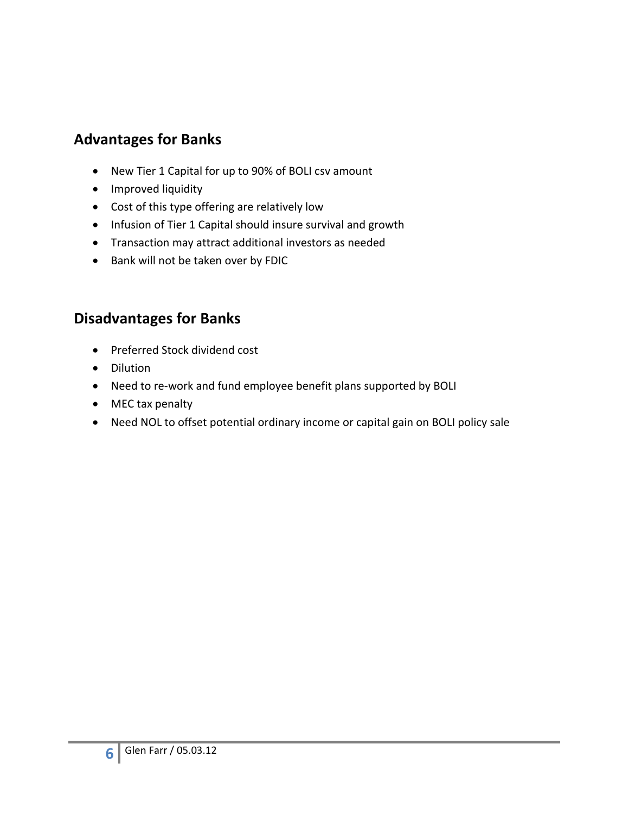#### **Advantages for Banks**

- New Tier 1 Capital for up to 90% of BOLI csv amount
- Improved liquidity
- Cost of this type offering are relatively low
- Infusion of Tier 1 Capital should insure survival and growth
- Transaction may attract additional investors as needed
- Bank will not be taken over by FDIC

#### **Disadvantages for Banks**

- Preferred Stock dividend cost
- Dilution
- Need to re-work and fund employee benefit plans supported by BOLI
- MEC tax penalty
- Need NOL to offset potential ordinary income or capital gain on BOLI policy sale